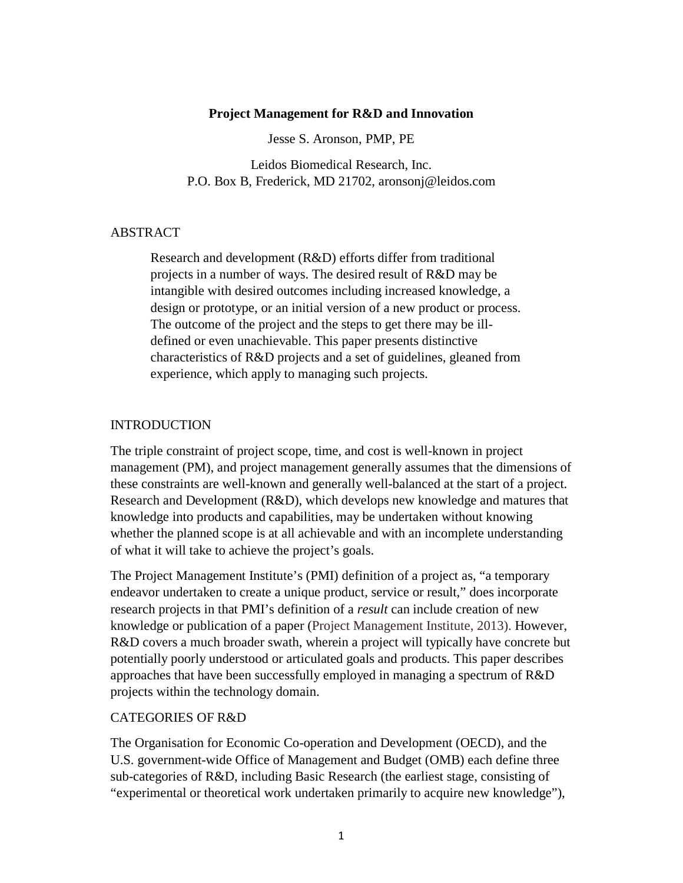### **Project Management for R&D and Innovation**

Jesse S. Aronson, PMP, PE

Leidos Biomedical Research, Inc. P.O. Box B, Frederick, MD 21702, aronsonj@leidos.com

### ABSTRACT

Research and development (R&D) efforts differ from traditional projects in a number of ways. The desired result of R&D may be intangible with desired outcomes including increased knowledge, a design or prototype, or an initial version of a new product or process. The outcome of the project and the steps to get there may be illdefined or even unachievable. This paper presents distinctive characteristics of R&D projects and a set of guidelines, gleaned from experience, which apply to managing such projects.

## INTRODUCTION

The triple constraint of project scope, time, and cost is well-known in project management (PM), and project management generally assumes that the dimensions of these constraints are well-known and generally well-balanced at the start of a project. Research and Development (R&D), which develops new knowledge and matures that knowledge into products and capabilities, may be undertaken without knowing whether the planned scope is at all achievable and with an incomplete understanding of what it will take to achieve the project's goals.

The Project Management Institute's (PMI) definition of a project as, "a temporary endeavor undertaken to create a unique product, service or result," does incorporate research projects in that PMI's definition of a *result* can include creation of new knowledge or publication of a paper (Project Management Institute, 2013). However, R&D covers a much broader swath, wherein a project will typically have concrete but potentially poorly understood or articulated goals and products. This paper describes approaches that have been successfully employed in managing a spectrum of R&D projects within the technology domain.

## CATEGORIES OF R&D

The Organisation for Economic Co-operation and Development (OECD), and the U.S. government-wide Office of Management and Budget (OMB) each define three sub-categories of R&D, including Basic Research (the earliest stage, consisting of "experimental or theoretical work undertaken primarily to acquire new knowledge"),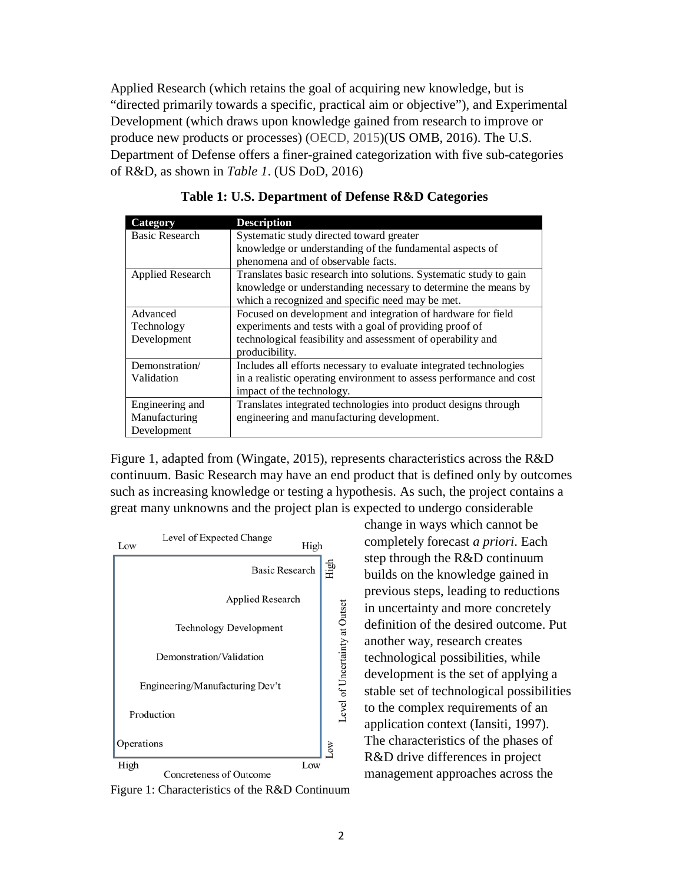Applied Research (which retains the goal of acquiring new knowledge, but is "directed primarily towards a specific, practical aim or objective"), and Experimental Development (which draws upon knowledge gained from research to improve or produce new products or processes) (OECD, 2015)(US OMB, 2016). The U.S. Department of Defense offers a finer-grained categorization with five sub-categories of R&D, as shown in *Table 1*. (US DoD, 2016)

| Category                | <b>Description</b>                                                  |
|-------------------------|---------------------------------------------------------------------|
| <b>Basic Research</b>   | Systematic study directed toward greater                            |
|                         | knowledge or understanding of the fundamental aspects of            |
|                         | phenomena and of observable facts.                                  |
| <b>Applied Research</b> | Translates basic research into solutions. Systematic study to gain  |
|                         | knowledge or understanding necessary to determine the means by      |
|                         | which a recognized and specific need may be met.                    |
| Advanced                | Focused on development and integration of hardware for field        |
| Technology              | experiments and tests with a goal of providing proof of             |
| Development             | technological feasibility and assessment of operability and         |
|                         | producibility.                                                      |
| Demonstration/          | Includes all efforts necessary to evaluate integrated technologies  |
| Validation              | in a realistic operating environment to assess performance and cost |
|                         | impact of the technology.                                           |
| Engineering and         | Translates integrated technologies into product designs through     |
| Manufacturing           | engineering and manufacturing development.                          |
| Development             |                                                                     |

**Table 1: U.S. Department of Defense R&D Categories**

Figure 1, adapted from (Wingate, 2015), represents characteristics across the R&D continuum. Basic Research may have an end product that is defined only by outcomes such as increasing knowledge or testing a hypothesis. As such, the project contains a great many unknowns and the project plan is expected to undergo considerable



change in ways which cannot be completely forecast *a priori*. Each step through the R&D continuum builds on the knowledge gained in previous steps, leading to reductions in uncertainty and more concretely definition of the desired outcome. Put another way, research creates technological possibilities, while development is the set of applying a stable set of technological possibilities to the complex requirements of an application context (Iansiti, 1997). The characteristics of the phases of R&D drive differences in project management approaches across the

Figure 1: Characteristics of the R&D Continuum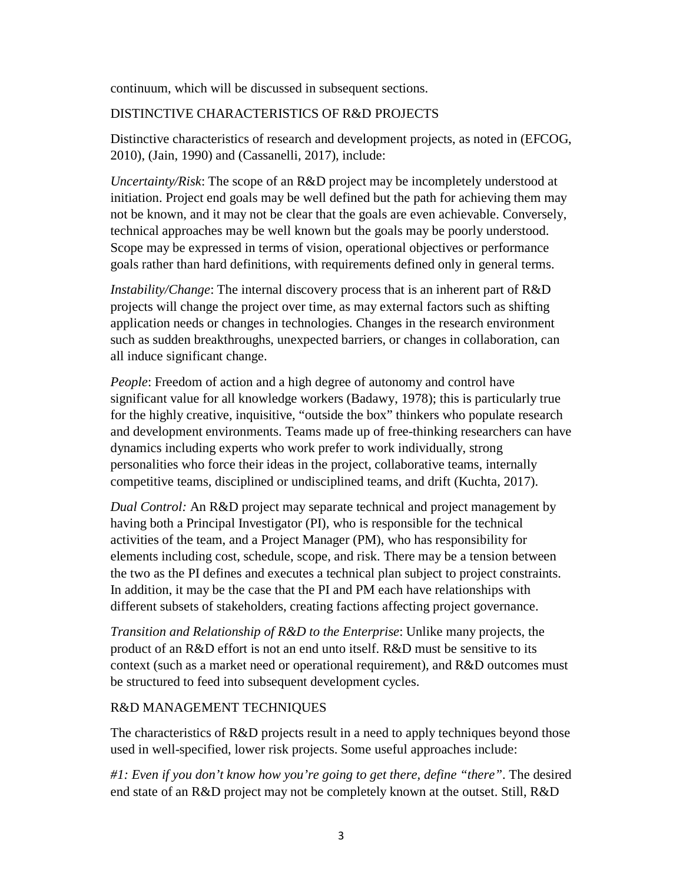continuum, which will be discussed in subsequent sections.

# DISTINCTIVE CHARACTERISTICS OF R&D PROJECTS

Distinctive characteristics of research and development projects, as noted in (EFCOG, 2010), (Jain, 1990) and (Cassanelli, 2017), include:

*Uncertainty/Risk*: The scope of an R&D project may be incompletely understood at initiation. Project end goals may be well defined but the path for achieving them may not be known, and it may not be clear that the goals are even achievable. Conversely, technical approaches may be well known but the goals may be poorly understood. Scope may be expressed in terms of vision, operational objectives or performance goals rather than hard definitions, with requirements defined only in general terms.

*Instability/Change*: The internal discovery process that is an inherent part of R&D projects will change the project over time, as may external factors such as shifting application needs or changes in technologies. Changes in the research environment such as sudden breakthroughs, unexpected barriers, or changes in collaboration, can all induce significant change.

*People*: Freedom of action and a high degree of autonomy and control have significant value for all knowledge workers (Badawy, 1978); this is particularly true for the highly creative, inquisitive, "outside the box" thinkers who populate research and development environments. Teams made up of free-thinking researchers can have dynamics including experts who work prefer to work individually, strong personalities who force their ideas in the project, collaborative teams, internally competitive teams, disciplined or undisciplined teams, and drift (Kuchta, 2017).

*Dual Control:* An R&D project may separate technical and project management by having both a Principal Investigator (PI), who is responsible for the technical activities of the team, and a Project Manager (PM), who has responsibility for elements including cost, schedule, scope, and risk. There may be a tension between the two as the PI defines and executes a technical plan subject to project constraints. In addition, it may be the case that the PI and PM each have relationships with different subsets of stakeholders, creating factions affecting project governance.

*Transition and Relationship of R&D to the Enterprise*: Unlike many projects, the product of an R&D effort is not an end unto itself. R&D must be sensitive to its context (such as a market need or operational requirement), and R&D outcomes must be structured to feed into subsequent development cycles.

# R&D MANAGEMENT TECHNIQUES

The characteristics of R&D projects result in a need to apply techniques beyond those used in well-specified, lower risk projects. Some useful approaches include:

*#1: Even if you don't know how you're going to get there, define "there"*. The desired end state of an R&D project may not be completely known at the outset. Still, R&D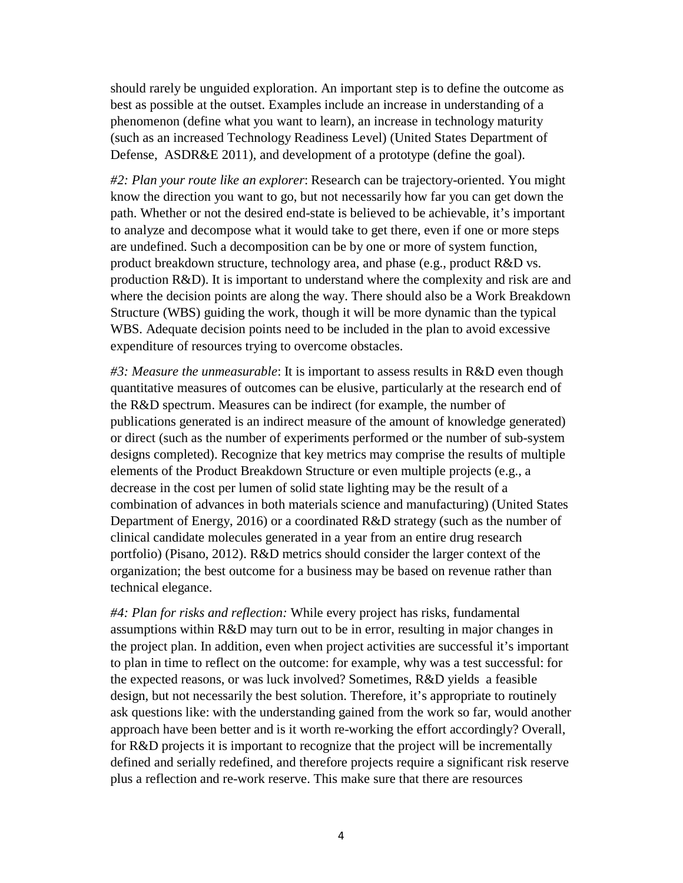should rarely be unguided exploration. An important step is to define the outcome as best as possible at the outset. Examples include an increase in understanding of a phenomenon (define what you want to learn), an increase in technology maturity (such as an increased Technology Readiness Level) (United States Department of Defense, ASDR&E 2011), and development of a prototype (define the goal).

*#2: Plan your route like an explorer*: Research can be trajectory-oriented. You might know the direction you want to go, but not necessarily how far you can get down the path. Whether or not the desired end-state is believed to be achievable, it's important to analyze and decompose what it would take to get there, even if one or more steps are undefined. Such a decomposition can be by one or more of system function, product breakdown structure, technology area, and phase (e.g., product R&D vs. production R&D). It is important to understand where the complexity and risk are and where the decision points are along the way. There should also be a Work Breakdown Structure (WBS) guiding the work, though it will be more dynamic than the typical WBS. Adequate decision points need to be included in the plan to avoid excessive expenditure of resources trying to overcome obstacles.

*#3: Measure the unmeasurable*: It is important to assess results in R&D even though quantitative measures of outcomes can be elusive, particularly at the research end of the R&D spectrum. Measures can be indirect (for example, the number of publications generated is an indirect measure of the amount of knowledge generated) or direct (such as the number of experiments performed or the number of sub-system designs completed). Recognize that key metrics may comprise the results of multiple elements of the Product Breakdown Structure or even multiple projects (e.g., a decrease in the cost per lumen of solid state lighting may be the result of a combination of advances in both materials science and manufacturing) (United States Department of Energy, 2016) or a coordinated R&D strategy (such as the number of clinical candidate molecules generated in a year from an entire drug research portfolio) (Pisano, 2012). R&D metrics should consider the larger context of the organization; the best outcome for a business may be based on revenue rather than technical elegance.

*#4: Plan for risks and reflection:* While every project has risks, fundamental assumptions within R&D may turn out to be in error, resulting in major changes in the project plan. In addition, even when project activities are successful it's important to plan in time to reflect on the outcome: for example, why was a test successful: for the expected reasons, or was luck involved? Sometimes, R&D yields a feasible design, but not necessarily the best solution. Therefore, it's appropriate to routinely ask questions like: with the understanding gained from the work so far, would another approach have been better and is it worth re-working the effort accordingly? Overall, for R&D projects it is important to recognize that the project will be incrementally defined and serially redefined, and therefore projects require a significant risk reserve plus a reflection and re-work reserve. This make sure that there are resources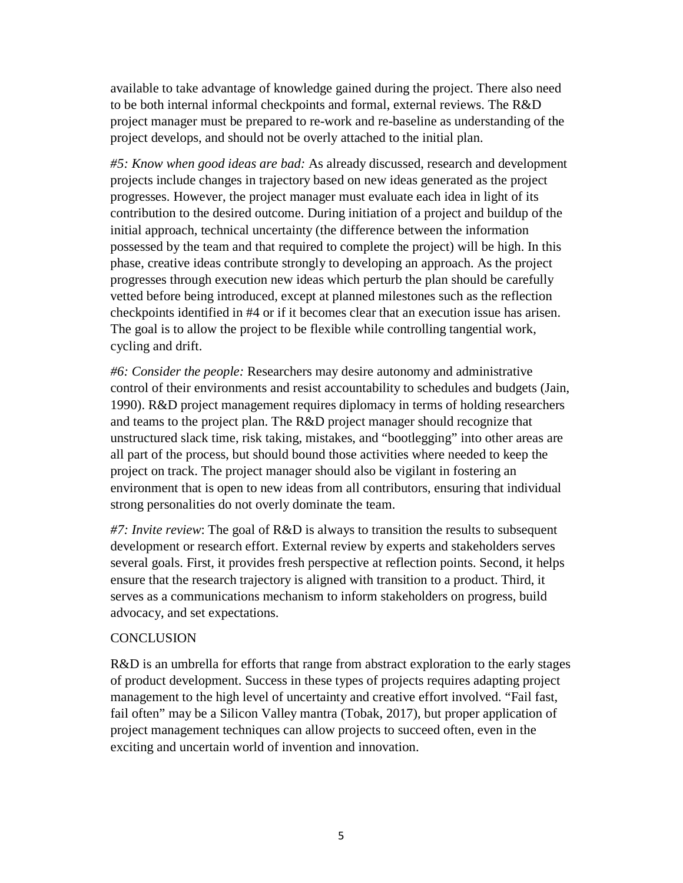available to take advantage of knowledge gained during the project. There also need to be both internal informal checkpoints and formal, external reviews. The R&D project manager must be prepared to re-work and re-baseline as understanding of the project develops, and should not be overly attached to the initial plan.

*#5: Know when good ideas are bad:* As already discussed, research and development projects include changes in trajectory based on new ideas generated as the project progresses. However, the project manager must evaluate each idea in light of its contribution to the desired outcome. During initiation of a project and buildup of the initial approach, technical uncertainty (the difference between the information possessed by the team and that required to complete the project) will be high. In this phase, creative ideas contribute strongly to developing an approach. As the project progresses through execution new ideas which perturb the plan should be carefully vetted before being introduced, except at planned milestones such as the reflection checkpoints identified in #4 or if it becomes clear that an execution issue has arisen. The goal is to allow the project to be flexible while controlling tangential work, cycling and drift.

*#6: Consider the people:* Researchers may desire autonomy and administrative control of their environments and resist accountability to schedules and budgets (Jain, 1990). R&D project management requires diplomacy in terms of holding researchers and teams to the project plan. The R&D project manager should recognize that unstructured slack time, risk taking, mistakes, and "bootlegging" into other areas are all part of the process, but should bound those activities where needed to keep the project on track. The project manager should also be vigilant in fostering an environment that is open to new ideas from all contributors, ensuring that individual strong personalities do not overly dominate the team.

*#7: Invite review*: The goal of R&D is always to transition the results to subsequent development or research effort. External review by experts and stakeholders serves several goals. First, it provides fresh perspective at reflection points. Second, it helps ensure that the research trajectory is aligned with transition to a product. Third, it serves as a communications mechanism to inform stakeholders on progress, build advocacy, and set expectations.

## **CONCLUSION**

R&D is an umbrella for efforts that range from abstract exploration to the early stages of product development. Success in these types of projects requires adapting project management to the high level of uncertainty and creative effort involved. "Fail fast, fail often" may be a Silicon Valley mantra (Tobak, 2017), but proper application of project management techniques can allow projects to succeed often, even in the exciting and uncertain world of invention and innovation.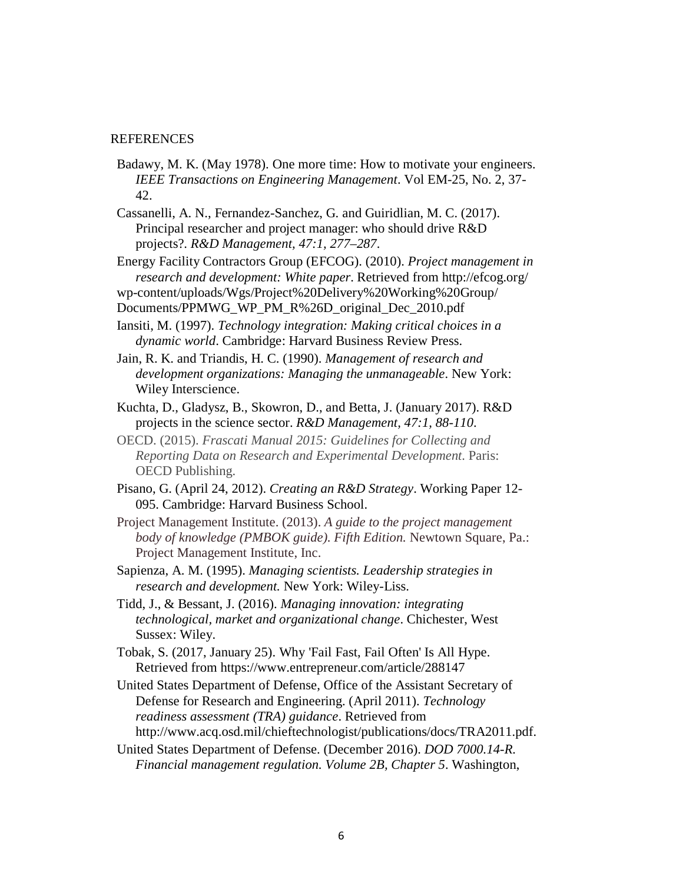#### REFERENCES

- Badawy, M. K. (May 1978). One more time: How to motivate your engineers. *IEEE Transactions on Engineering Management*. Vol EM-25, No. 2, 37- 42.
- Cassanelli, A. N., Fernandez-Sanchez, G. and Guiridlian, M. C. (2017). Principal researcher and project manager: who should drive R&D projects?. *R&D Management, 47:1, 277–287*.

Energy Facility Contractors Group (EFCOG). (2010). *Project management in research and development: White paper*. Retrieved from http://efcog.org/

- wp-content/uploads/Wgs/Project%20Delivery%20Working%20Group/
- Documents/PPMWG\_WP\_PM\_R%26D\_original\_Dec\_2010.pdf

Iansiti, M. (1997). *Technology integration: Making critical choices in a dynamic world*. Cambridge: Harvard Business Review Press.

- Jain, R. K. and Triandis, H. C. (1990). *Management of research and development organizations: Managing the unmanageable*. New York: Wiley Interscience.
- Kuchta, D., Gladysz, B., Skowron, D., and Betta, J. (January 2017). R&D projects in the science sector. *R&D Management, 47:1, 88-110*.
- OECD. (2015). *Frascati Manual 2015: Guidelines for Collecting and Reporting Data on Research and Experimental Development*. Paris: OECD Publishing.
- Pisano, G. (April 24, 2012). *Creating an R&D Strategy*. Working Paper 12- 095. Cambridge: Harvard Business School.
- Project Management Institute. (2013). *A guide to the project management body of knowledge (PMBOK guide). Fifth Edition.* Newtown Square, Pa.: Project Management Institute, Inc.
- Sapienza, A. M. (1995). *Managing scientists. Leadership strategies in research and development.* New York: Wiley-Liss.

Tidd, J., & Bessant, J. (2016). *Managing innovation: integrating technological, market and organizational change*. Chichester, West Sussex: Wiley.

Tobak, S. (2017, January 25). Why 'Fail Fast, Fail Often' Is All Hype. Retrieved from https://www.entrepreneur.com/article/288147

United States Department of Defense, Office of the Assistant Secretary of Defense for Research and Engineering. (April 2011). *Technology readiness assessment (TRA) guidance*. Retrieved from http://www.acq.osd.mil/chieftechnologist/publications/docs/TRA2011.pdf.

United States Department of Defense. (December 2016). *DOD 7000.14-R. Financial management regulation. Volume 2B, Chapter 5*. Washington,